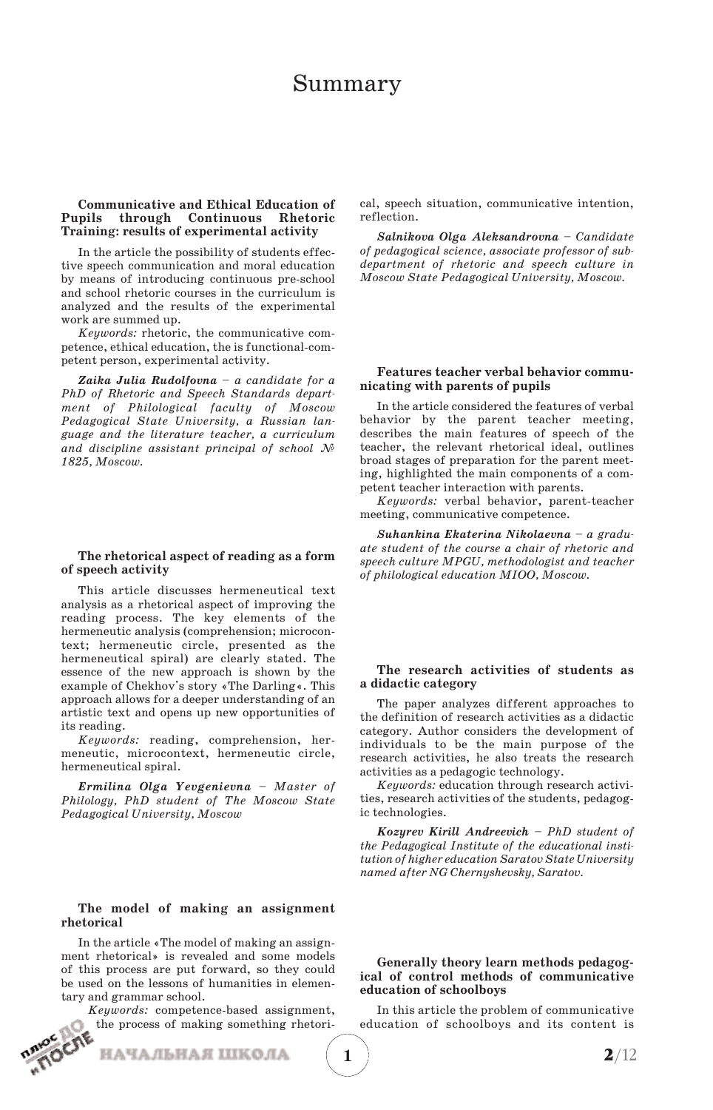# Summary

## **Communicative and Ethical Education of Pupils through Continuous Rhetoric Training: results of experimental activity**

In the article the possibility of students effec tive speech communication and moral education by means of introducing continuous pre-school and school rhetoric courses in the curriculum is analyzed and the results of the experimental work are summed up.

*Keywords:* rhetoric, the communicative com petence, ethical education, the is functional-com petent person, experimental activity.

*Zaika Julia Rudolfovna – a candidate for a PhD of Rhetoric and Speech Standards depart ment of Philological faculty of Moscow Pedagogical State University, a Russian lan guage and the literature teacher, a curriculum and discipline assistant principal of school № 1825, Moscow.*

#### **The rhetorical aspect of reading as a form of speech activity**

This article discusses hermeneutical text analysis as a rhetorical aspect of improving the reading process. The key elements of the hermeneutic analysis (comprehension; microcon text; hermeneutic circle, presented as the hermeneutical spiral) are clearly stated. The essence of the new approach is shown by the example of Chekhov's story «The Darling«. This approach allows for a deeper understanding of an artistic text and opens up new opportunities of its reading.

*Keywords:* reading, comprehension, her meneutic, microcontext, hermeneutic circle, hermeneutical spiral.

*Ermilina Olga Yevgenievna – Master of Philology, PhD student of The Moscow State Pedagogical University, Moscow*

### **The model of making an assignment rhetorical**

In the article «The model of making an assign ment rhetorical» is revealed and some models of this process are put forward, so they could be used on the lessons of humanities in elemen tary and grammar school.

*Keywords:* competence-based assignment, the process of making something rhetori-

НАЧАЛЬНАЯ ШКОЛА

cal, speech situation, communicative intention, reflection.

*Salnikova Olga Aleksandrovna – Candidate of pedagogical science, associate professor of sub department of rhetoric and speech culture in Moscow State Pedagogical University, Moscow.*

# **Features teacher verbal behavior communicating with parents of pupils**

In the article considered the features of verbal behavior by the parent teacher meeting, describes the main features of speech of the teacher, the relevant rhetorical ideal, outlines broad stages of preparation for the parent meet ing, highlighted the main components of a competent teacher interaction with parents.

*Keywords:* verbal behavior, parent-teacher meeting, communicative competence.

*Suhankina Ekaterina Nikolaevna – a gradu ate student of the course a chair of rhetoric and speech culture MPGU, methodologist and teacher of philological education MIOO, Moscow.*

# **The research activities of students as a didactic category**

The paper analyzes different approaches to the definition of research activities as a didactic category. Author considers the development of individuals to be the main purpose of the research activities, he also treats the research activities as a pedagogic technology.

*Keywords:* education through research activi ties, research activities of the students, pedagog ic technologies.

*Kozyrev Kirill Andreevich – PhD student of the Pedagogical Institute of the educational insti tution of higher education Saratov State University named after NG Chernyshevsky, Saratov.*

#### **Generally theory learn methods pedagog ical of control methods of communicative education of schoolboys**

In this article the problem of communicative education of schoolboys and its content is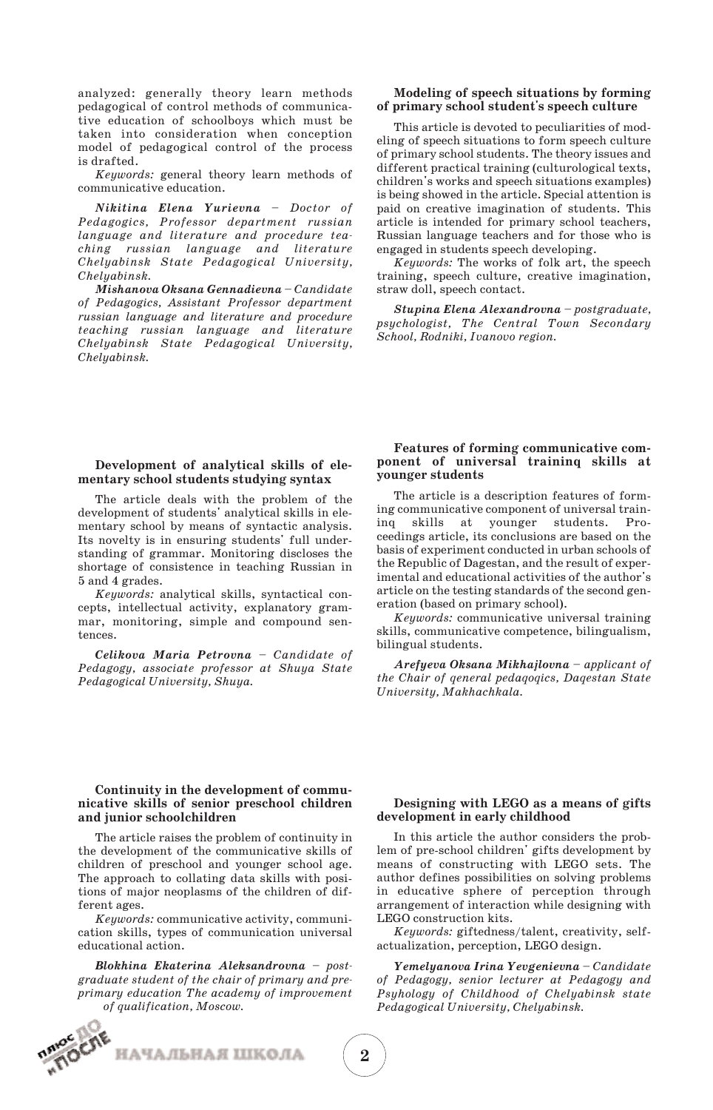analyzed: generally theory learn methods pedagogical of control methods of communica tive education of schoolboys which must be taken into consideration when conception model of pedagogical control of the process is drafted.

*Keywords:* general theory learn methods of communicative education.

*Nikitina Elena Yurievna – Doctor of Pedagogics, Professor department russian language and literature and procedure tea ching russian language and literature Chelyabinsk State Pedagogical University, Chelyabinsk.*

*Mishanova Oksana Gennadievna – Candidate of Pedagogics, Assistant Professor department russian language and literature and procedure teaching russian language and literature Chelyabinsk State Pedagogical University, Chelyabinsk.*

# **Modeling of speech situations by forming of primary school student's speech culture**

This article is devoted to peculiarities of mod eling of speech situations to form speech culture of primary school students. The theory issues and different practical training (culturological texts, children's works and speech situations examples) is being showed in the article. Special attention is paid on creative imagination of students. This article is intended for primary school teachers, Russian language teachers and for those who is engaged in students speech developing.

*Keywords:* The works of folk art, the speech training, speech culture, creative imagination, straw doll, speech contact.

*Stupina Elena Alexandrovna – postgraduate, psychologist, The Central Town Secondary School, Rodniki, Ivanovo region.*

#### **Development of analytical skills of ele mentary school students studying syntax**

The article deals with the problem of the development of students' analytical skills in ele mentary school by means of syntactic analysis. Its novelty is in ensuring students' full under standing of grammar. Monitoring discloses the shortage of consistence in teaching Russian in 5 and 4 grades.

*Keywords:* analytical skills, syntactical con cepts, intellectual activity, explanatory gram mar, monitoring, simple and compound sen tences.

*Celikova Maria Petrovna – Candidate of Pedagogy, associate professor at Shuya State Pedagogical University, Shuya.*

#### **Features of forming communicative com ponent of universal traininq skills at younger students**

The article is a description features of forming communicative component of universal train inq skills at younger students. Proceedings article, its conclusions are based on the basis of experiment conducted in urban schools of the Republic of Dagestan, and the result of experimental and educational activities of the author's article on the testing standards of the second gen eration (based on primary school).

*Keywords:* communicative universal training skills, communicative competence, bilingualism, bilingual students.

*Arefyeva Oksana Mikhajlovna – аpplicant of the Chair of qeneral pedaqoqics, Daqestan State University, Makhachkala.*

### **Continuity in the development of commu nicative skills of senior preschool children and junior schoolchildren**

The article raises the problem of continuity in the development of the communicative skills of children of preschool and younger school age. The approach to collating data skills with posi tions of major neoplasms of the children of dif ferent ages.

*Keywords:* сommunicative activity, communi cation skills, types of communication universal educational action.

*Blokhina Ekaterina Aleksandrovna – post graduate student of the chair of primary and pre primary education The academy of improvement of qualification, Moscow.* 

НАЧАЛЬНАЯ ШКОЛА



# **Designing with LEGO as a means of gifts development in early childhood**

In this article the author considers the prob lem of pre-school children' gifts development by means of constructing with LEGO sets. The author defines possibilities on solving problems in educative sphere of perception through arrangement of interaction while designing with LEGO construction kits.

*Keywords:* giftedness/talent, creativity, self actualization, perception, LEGO design.

*Yemelyanova Irina Yevgenievna – Candidate of Pedagogy, senior lecturer at Pedagogy and Psyhology of Childhood of Chelyabinsk state Pedagogical University, Chelyabinsk.*